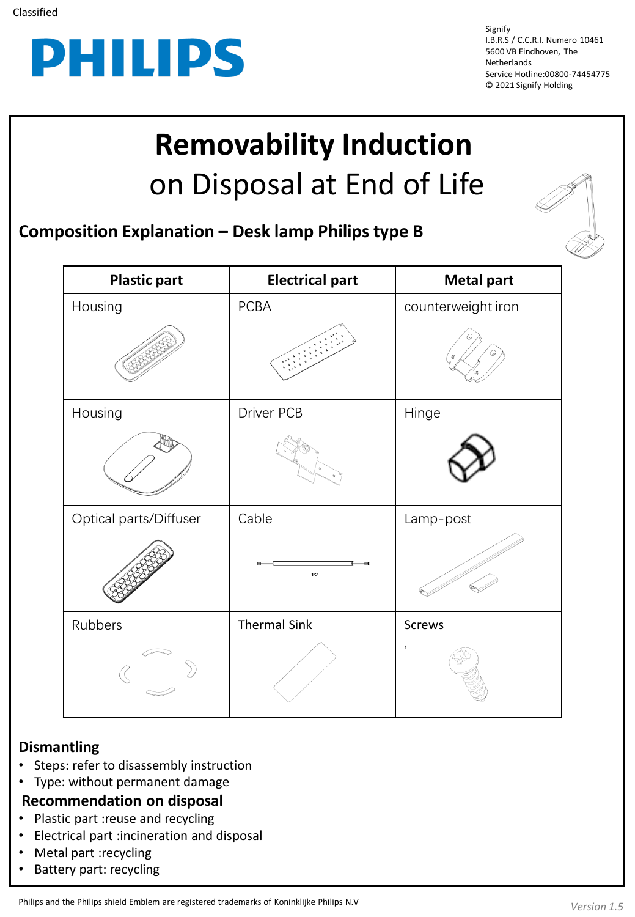

Signify I.B.R.S / C.C.R.I. Numero 10461 5600 VB Eindhoven, The Netherlands Service Hotline:00800-74454775 © 2021 Signify Holding

## **Removability Induction**  on Disposal at End of Life

**Composition Explanation – Desk lamp Philips type B**

| <b>Plastic part</b>    | <b>Electrical part</b> | <b>Metal part</b>  |
|------------------------|------------------------|--------------------|
| Housing                | PCBA                   | counterweight iron |
|                        |                        |                    |
| Housing                | Driver PCB             | Hinge              |
|                        |                        |                    |
| Optical parts/Diffuser | Cable                  | Lamp-post          |
|                        | 1:2                    |                    |
| Rubbers                | <b>Thermal Sink</b>    | Screws             |
|                        |                        | $\mathbf{I}$       |

## **Dismantling**

- Steps: refer to disassembly instruction
- Type: without permanent damage
- **Recommendation on disposal**
- Plastic part :reuse and recycling
- Electrical part :incineration and disposal
- Metal part :recycling
- Battery part: recycling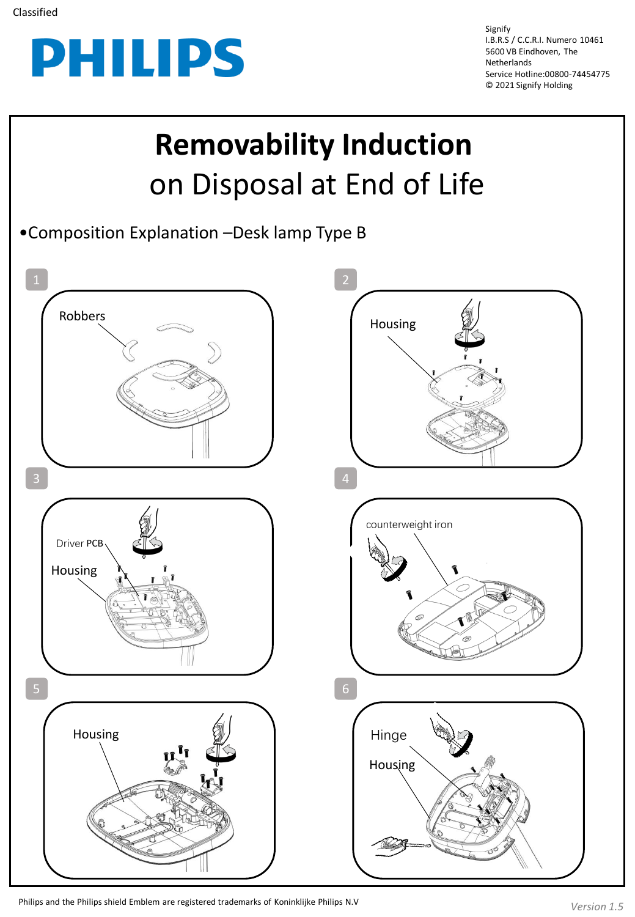

Signify I.B.R.S / C.C.R.I. Numero 10461 5600 VB Eindhoven, The Netherlands Service Hotline:00800-74454775 © 2021 Signify Holding

## **Removability Induction**  on Disposal at End of Life •Composition Explanation –Desk lamp Type B  $1 \quad 2$ Robbers **Robbers Housing**  $3 \t 4$ counterweight iron Driver PCB Housing T  $5<sub>1</sub>$  6 Housing HingeHousing